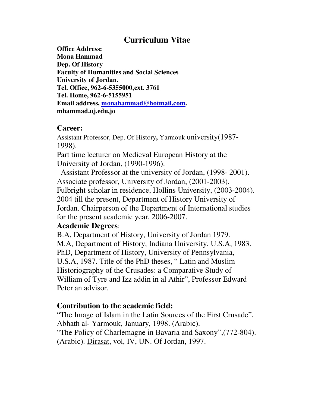# **Curriculum Vitae**

**Office Address: Mona Hammad Dep. Of History Faculty of Humanities and Social Sciences University of Jordan. Tel. Office, 962-6-5355000,ext. 3761 Tel. Home, 962-6-5155951 Email address, monahammad@hotmail.com. mhammad.uj.edu.jo** 

## **Career:**

Assistant Professor, Dep. Of History**,** Yarmouk university(1987**-** 1998).

Part time lecturer on Medieval European History at the University of Jordan, (1990-1996).

 Assistant Professor at the university of Jordan, (1998- 2001). Associate professor, University of Jordan, (2001-2003). Fulbright scholar in residence, Hollins University, (2003-2004). 2004 till the present, Department of History University of Jordan. Chairperson of the Department of International studies for the present academic year, 2006-2007.

## **Academic Degrees**:

B.A, Department of History, University of Jordan 1979. M.A, Department of History, Indiana University, U.S.A, 1983. PhD, Department of History, University of Pennsylvania, U.S.A, 1987. Title of the PhD theses, " Latin and Muslim Historiography of the Crusades: a Comparative Study of William of Tyre and Izz addin in al Athir", Professor Edward Peter an advisor.

## **Contribution to the academic field:**

"The Image of Islam in the Latin Sources of the First Crusade", Abhath al- Yarmouk, January, 1998. (Arabic).

"The Policy of Charlemagne in Bavaria and Saxony",(772-804). (Arabic). Dirasat, vol, IV, UN. Of Jordan, 1997.